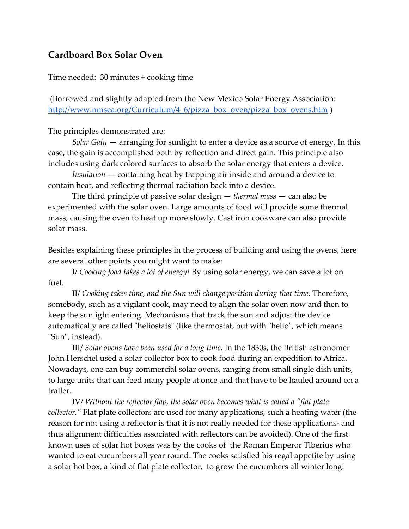# **Cardboard Box Solar Oven**

Time needed: 30 minutes + cooking time

(Borrowed and slightly adapted from the New Mexico Solar Energy Association: http://www.nmsea.org/Curriculum/4\_6/pizza\_box\_oven/pizza\_box\_ovens.htm )

The principles demonstrated are:

*Solar Gain* — arranging for sunlight to enter a device as a source of energy. In this case, the gain is accomplished both by reflection and direct gain. This principle also includes using dark colored surfaces to absorb the solar energy that enters a device.

*Insulation* — containing heat by trapping air inside and around a device to contain heat, and reflecting thermal radiation back into a device.

The third principle of passive solar design — *thermal mass* — can also be experimented with the solar oven. Large amounts of food will provide some thermal mass, causing the oven to heat up more slowly. Cast iron cookware can also provide solar mass.

Besides explaining these principles in the process of building and using the ovens, here are several other points you might want to make:

I/ *Cooking food takes a lot of energy!* By using solar energy, we can save a lot on fuel.

II/ Cooking takes time, and the Sun will change position during that time. Therefore, somebody, such as a vigilant cook, may need to align the solar oven now and then to keep the sunlight entering. Mechanisms that track the sun and adjust the device automatically are called "heliostats" (like thermostat, but with "helio", which means "Sun", instead).

III/ *Solar ovens have been used for a long time.* In the 1830s, the British astronomer John Herschel used a solar collector box to cook food during an expedition to Africa. Nowadays, one can buy commercial solar ovens, ranging from small single dish units, to large units that can feed many people at once and that have to be hauled around on a trailer.

IV/ *Without the reflector flap, the solar oven becomes what is called a "flat plate collector."* Flat plate collectors are used for many applications, such a heating water (the reason for not using a reflector is that it is not really needed for these applications- and thus alignment difficulties associated with reflectors can be avoided). One of the first known uses of solar hot boxes was by the cooks of the Roman Emperor Tiberius who wanted to eat cucumbers all year round. The cooks satisfied his regal appetite by using a solar hot box, a kind of flat plate collector, to grow the cucumbers all winter long!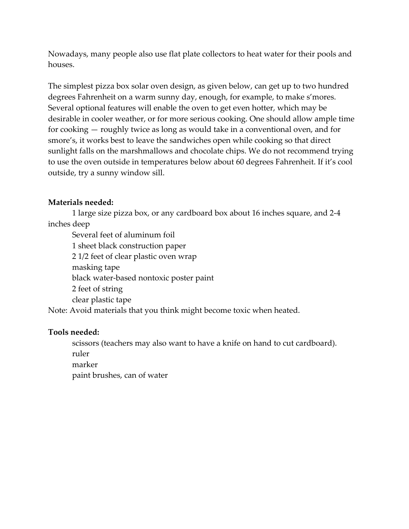Nowadays, many people also use flat plate collectors to heat water for their pools and houses.

The simplest pizza box solar oven design, as given below, can get up to two hundred degrees Fahrenheit on a warm sunny day, enough, for example, to make s'mores. Several optional features will enable the oven to get even hotter, which may be desirable in cooler weather, or for more serious cooking. One should allow ample time for cooking — roughly twice as long as would take in a conventional oven, and for smore's, it works best to leave the sandwiches open while cooking so that direct sunlight falls on the marshmallows and chocolate chips. We do not recommend trying to use the oven outside in temperatures below about 60 degrees Fahrenheit. If it's cool outside, try a sunny window sill.

## **Materials needed:**

1 large size pizza box, or any cardboard box about 16 inches square, and 2-4 inches deep

Several feet of aluminum foil 1 sheet black construction paper 2 1/2 feet of clear plastic oven wrap masking tape black water-based nontoxic poster paint 2 feet of string clear plastic tape

Note: Avoid materials that you think might become toxic when heated.

## **Tools needed:**

scissors (teachers may also want to have a knife on hand to cut cardboard). ruler marker paint brushes, can of water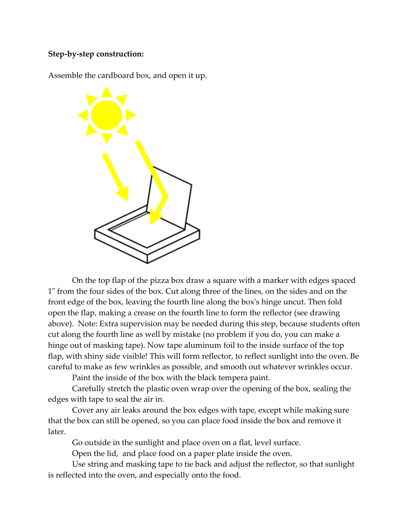### **Step-by-step construction:**

Assemble the cardboard box, and open it up.



On the top flap of the pizza box draw a square with a marker with edges spaced 1" from the four sides of the box. Cut along three of the lines, on the sides and on the front edge of the box, leaving the fourth line along the box's hinge uncut. Then fold open the flap, making a crease on the fourth line to form the reflector (see drawing above). Note: Extra supervision may be needed during this step, because students often cut along the fourth line as well by mistake (no problem if you do, you can make a hinge out of masking tape). Now tape aluminum foil to the inside surface of the top flap, with shiny side visible! This will form reflector, to reflect sunlight into the oven. Be careful to make as few wrinkles as possible, and smooth out whatever wrinkles occur.

Paint the inside of the box with the black tempera paint.

Carefully stretch the plastic oven wrap over the opening of the box, sealing the edges with tape to seal the air in.

Cover any air leaks around the box edges with tape, except while making sure that the box can still be opened, so you can place food inside the box and remove it later.

Go outside in the sunlight and place oven on a flat, level surface.

Open the lid, and place food on a paper plate inside the oven.

Use string and masking tape to tie back and adjust the reflector, so that sunlight is reflected into the oven, and especially onto the food.